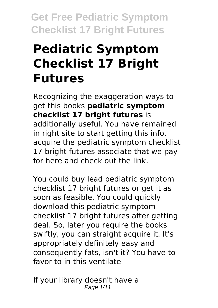# **Pediatric Symptom Checklist 17 Bright Futures**

Recognizing the exaggeration ways to get this books **pediatric symptom checklist 17 bright futures** is additionally useful. You have remained in right site to start getting this info. acquire the pediatric symptom checklist 17 bright futures associate that we pay for here and check out the link.

You could buy lead pediatric symptom checklist 17 bright futures or get it as soon as feasible. You could quickly download this pediatric symptom checklist 17 bright futures after getting deal. So, later you require the books swiftly, you can straight acquire it. It's appropriately definitely easy and consequently fats, isn't it? You have to favor to in this ventilate

If your library doesn't have a Page 1/11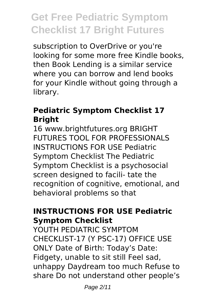subscription to OverDrive or you're looking for some more free Kindle books, then Book Lending is a similar service where you can borrow and lend books for your Kindle without going through a library.

#### **Pediatric Symptom Checklist 17 Bright**

16 www.brightfutures.org BRIGHT FUTURES TOOL FOR PROFESSIONALS INSTRUCTIONS FOR USE Pediatric Symptom Checklist The Pediatric Symptom Checklist is a psychosocial screen designed to facili- tate the recognition of cognitive, emotional, and behavioral problems so that

#### **INSTRUCTIONS FOR USE Pediatric Symptom Checklist**

YOUTH PEDIATRIC SYMPTOM CHECKLIST-17 (Y PSC-17) OFFICE USE ONLY Date of Birth: Today's Date: Fidgety, unable to sit still Feel sad, unhappy Daydream too much Refuse to share Do not understand other people's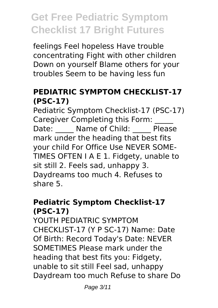feelings Feel hopeless Have trouble concentrating Fight with other children Down on yourself Blame others for your troubles Seem to be having less fun

### **PEDIATRIC SYMPTOM CHECKLIST-17 (PSC-17)**

Pediatric Symptom Checklist-17 (PSC-17) Caregiver Completing this Form: Date: Name of Child: Please mark under the heading that best fits your child For Office Use NEVER SOME-TIMES OFTEN I A E 1. Fidgety, unable to sit still 2. Feels sad, unhappy 3. Daydreams too much 4. Refuses to share 5.

### **Pediatric Symptom Checklist-17 (PSC-17)**

YOUTH PEDIATRIC SYMPTOM CHECKLIST-17 (Y P SC-17) Name: Date Of Birth: Record Today's Date: NEVER SOMETIMES Please mark under the heading that best fits you: Fidgety, unable to sit still Feel sad, unhappy Daydream too much Refuse to share Do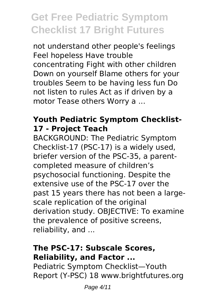not understand other people's feelings Feel hopeless Have trouble concentrating Fight with other children Down on yourself Blame others for your troubles Seem to be having less fun Do not listen to rules Act as if driven by a motor Tease others Worry a ...

### **Youth Pediatric Symptom Checklist-17 - Project Teach**

BACKGROUND: The Pediatric Symptom Checklist-17 (PSC-17) is a widely used, briefer version of the PSC-35, a parentcompleted measure of children's psychosocial functioning. Despite the extensive use of the PSC-17 over the past 15 years there has not been a largescale replication of the original derivation study. OBJECTIVE: To examine the prevalence of positive screens, reliability, and ...

### **The PSC-17: Subscale Scores, Reliability, and Factor ...**

Pediatric Symptom Checklist—Youth Report (Y-PSC) 18 www.brightfutures.org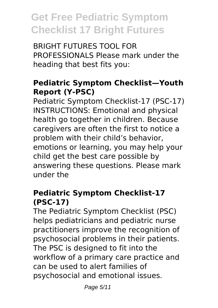BRIGHT FUTURES TOOL FOR PROFESSIONALS Please mark under the heading that best fits you:

### **Pediatric Symptom Checklist—Youth Report (Y-PSC)**

Pediatric Symptom Checklist-17 (PSC-17) INSTRUCTIONS: Emotional and physical health go together in children. Because caregivers are often the first to notice a problem with their child's behavior, emotions or learning, you may help your child get the best care possible by answering these questions. Please mark under the

#### **Pediatric Symptom Checklist-17 (PSC-17)**

The Pediatric Symptom Checklist (PSC) helps pediatricians and pediatric nurse practitioners improve the recognition of psychosocial problems in their patients. The PSC is designed to fit into the workflow of a primary care practice and can be used to alert families of psychosocial and emotional issues.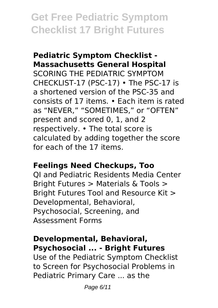#### **Pediatric Symptom Checklist - Massachusetts General Hospital**

SCORING THE PEDIATRIC SYMPTOM CHECKLIST-17 (PSC-17) • The PSC-17 is a shortened version of the PSC-35 and consists of 17 items. • Each item is rated as "NEVER," "SOMETIMES," or "OFTEN" present and scored 0, 1, and 2 respectively. • The total score is calculated by adding together the score for each of the 17 items.

#### **Feelings Need Checkups, Too**

QI and Pediatric Residents Media Center Bright Futures > Materials & Tools > Bright Futures Tool and Resource Kit > Developmental, Behavioral, Psychosocial, Screening, and Assessment Forms

#### **Developmental, Behavioral, Psychosocial ... - Bright Futures**

Use of the Pediatric Symptom Checklist to Screen for Psychosocial Problems in Pediatric Primary Care ... as the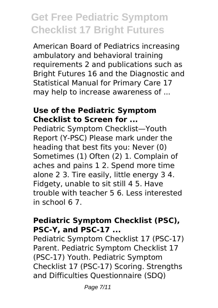American Board of Pediatrics increasing ambulatory and behavioral training requirements 2 and publications such as Bright Futures 16 and the Diagnostic and Statistical Manual for Primary Care 17 may help to increase awareness of ...

#### **Use of the Pediatric Symptom Checklist to Screen for ...**

Pediatric Symptom Checklist—Youth Report (Y-PSC) Please mark under the heading that best fits you: Never (0) Sometimes (1) Often (2) 1. Complain of aches and pains 1 2. Spend more time alone 2 3. Tire easily, little energy 3 4. Fidgety, unable to sit still 4 5. Have trouble with teacher 5 6. Less interested in school 6 7.

#### **Pediatric Symptom Checklist (PSC), PSC-Y, and PSC-17 ...**

Pediatric Symptom Checklist 17 (PSC-17) Parent. Pediatric Symptom Checklist 17 (PSC-17) Youth. Pediatric Symptom Checklist 17 (PSC-17) Scoring. Strengths and Difficulties Questionnaire (SDQ)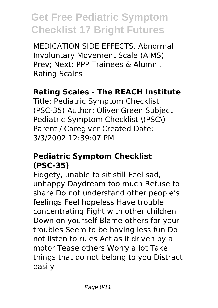MEDICATION SIDE EFFECTS. Abnormal Involuntary Movement Scale (AIMS) Prev; Next; PPP Trainees & Alumni. Rating Scales

### **Rating Scales - The REACH Institute**

Title: Pediatric Symptom Checklist (PSC-35) Author: Oliver Green Subject: Pediatric Symptom Checklist \(PSC\) -Parent / Caregiver Created Date: 3/3/2002 12:39:07 PM

#### **Pediatric Symptom Checklist (PSC-35)**

Fidgety, unable to sit still Feel sad, unhappy Daydream too much Refuse to share Do not understand other people's feelings Feel hopeless Have trouble concentrating Fight with other children Down on yourself Blame others for your troubles Seem to be having less fun Do not listen to rules Act as if driven by a motor Tease others Worry a lot Take things that do not belong to you Distract easily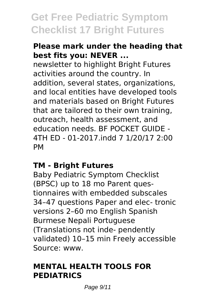#### **Please mark under the heading that best fits you: NEVER ...**

newsletter to highlight Bright Futures activities around the country. In addition, several states, organizations, and local entities have developed tools and materials based on Bright Futures that are tailored to their own training, outreach, health assessment, and education needs. BF POCKET GUIDE - 4TH ED - 01-2017.indd 7 1/20/17 2:00 PM

#### **TM - Bright Futures**

Baby Pediatric Symptom Checklist (BPSC) up to 18 mo Parent questionnaires with embedded subscales 34–47 questions Paper and elec- tronic versions 2–60 mo English Spanish Burmese Nepali Portuguese (Translations not inde- pendently validated) 10–15 min Freely accessible Source: www.

#### **MENTAL HEALTH TOOLS FOR PEDIATRICS**

Page 9/11